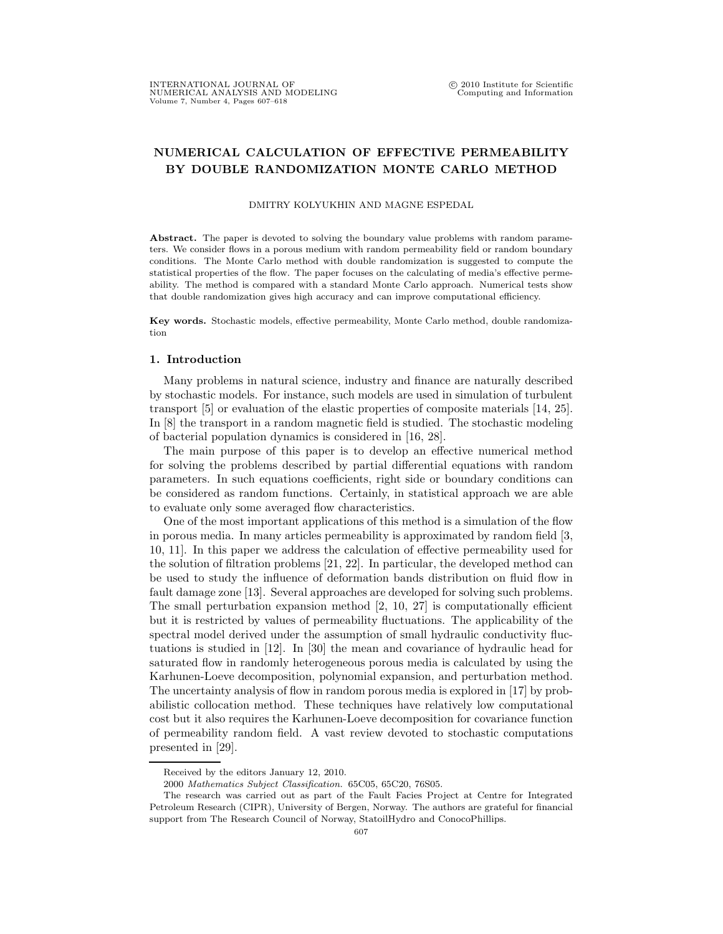## NUMERICAL CALCULATION OF EFFECTIVE PERMEABILITY BY DOUBLE RANDOMIZATION MONTE CARLO METHOD

## DMITRY KOLYUKHIN AND MAGNE ESPEDAL

Abstract. The paper is devoted to solving the boundary value problems with random parameters. We consider flows in a porous medium with random permeability field or random boundary conditions. The Monte Carlo method with double randomization is suggested to compute the statistical properties of the flow. The paper focuses on the calculating of media's effective permeability. The method is compared with a standard Monte Carlo approach. Numerical tests show that double randomization gives high accuracy and can improve computational efficiency.

Key words. Stochastic models, effective permeability, Monte Carlo method, double randomization

## 1. Introduction

Many problems in natural science, industry and finance are naturally described by stochastic models. For instance, such models are used in simulation of turbulent transport [5] or evaluation of the elastic properties of composite materials [14, 25]. In [8] the transport in a random magnetic field is studied. The stochastic modeling of bacterial population dynamics is considered in [16, 28].

The main purpose of this paper is to develop an effective numerical method for solving the problems described by partial differential equations with random parameters. In such equations coefficients, right side or boundary conditions can be considered as random functions. Certainly, in statistical approach we are able to evaluate only some averaged flow characteristics.

One of the most important applications of this method is a simulation of the flow in porous media. In many articles permeability is approximated by random field [3, 10, 11]. In this paper we address the calculation of effective permeability used for the solution of filtration problems [21, 22]. In particular, the developed method can be used to study the influence of deformation bands distribution on fluid flow in fault damage zone [13]. Several approaches are developed for solving such problems. The small perturbation expansion method [2, 10, 27] is computationally efficient but it is restricted by values of permeability fluctuations. The applicability of the spectral model derived under the assumption of small hydraulic conductivity fluctuations is studied in [12]. In [30] the mean and covariance of hydraulic head for saturated flow in randomly heterogeneous porous media is calculated by using the Karhunen-Loeve decomposition, polynomial expansion, and perturbation method. The uncertainty analysis of flow in random porous media is explored in [17] by probabilistic collocation method. These techniques have relatively low computational cost but it also requires the Karhunen-Loeve decomposition for covariance function of permeability random field. A vast review devoted to stochastic computations presented in [29].

Received by the editors January 12, 2010.

<sup>2000</sup> Mathematics Subject Classification. 65C05, 65C20, 76S05.

The research was carried out as part of the Fault Facies Project at Centre for Integrated Petroleum Research (CIPR), University of Bergen, Norway. The authors are grateful for financial support from The Research Council of Norway, StatoilHydro and ConocoPhillips.